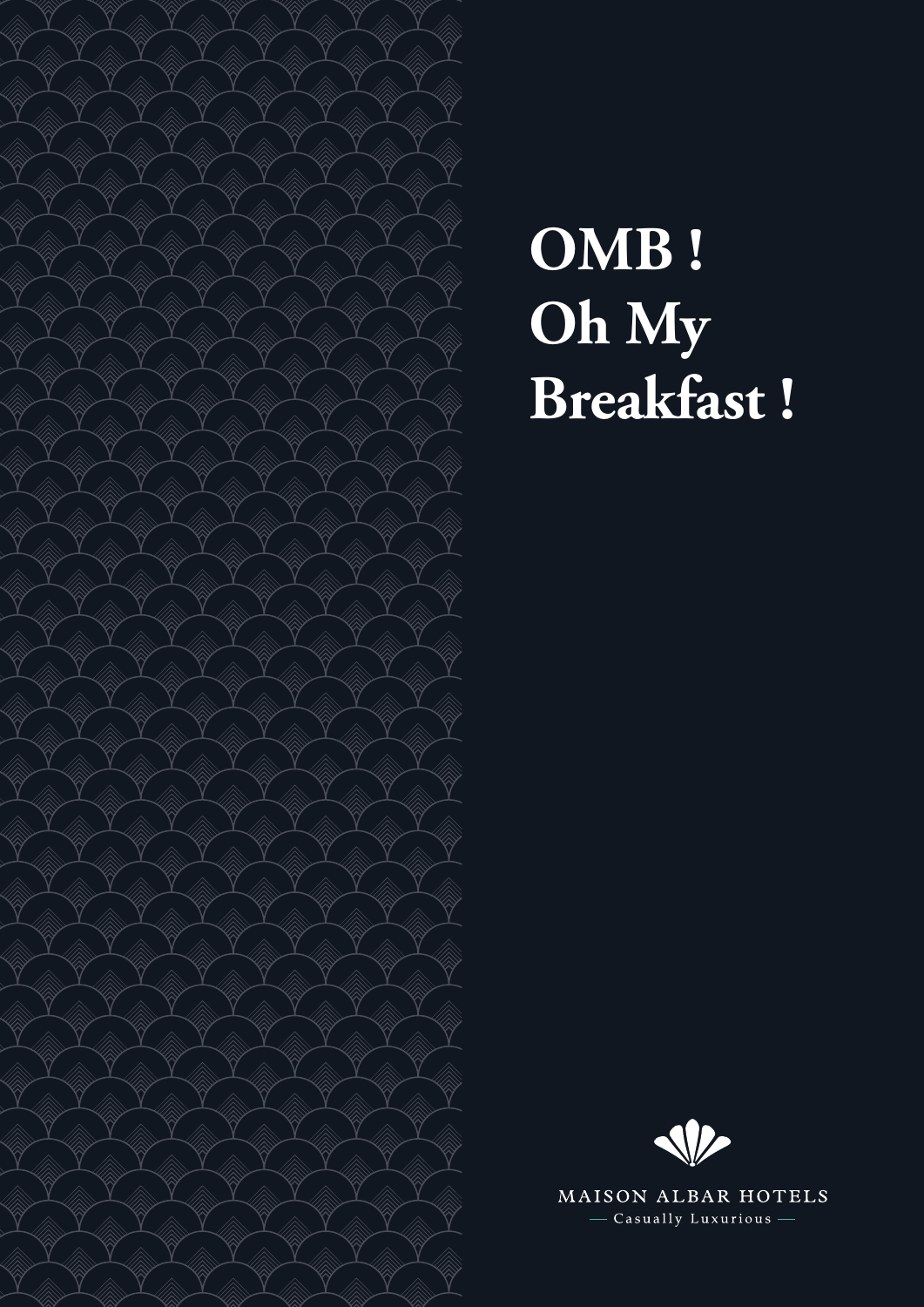

# **OMB ! Oh My Breakfast !**



MAISON ALBAR HOTELS - Casually Luxurious